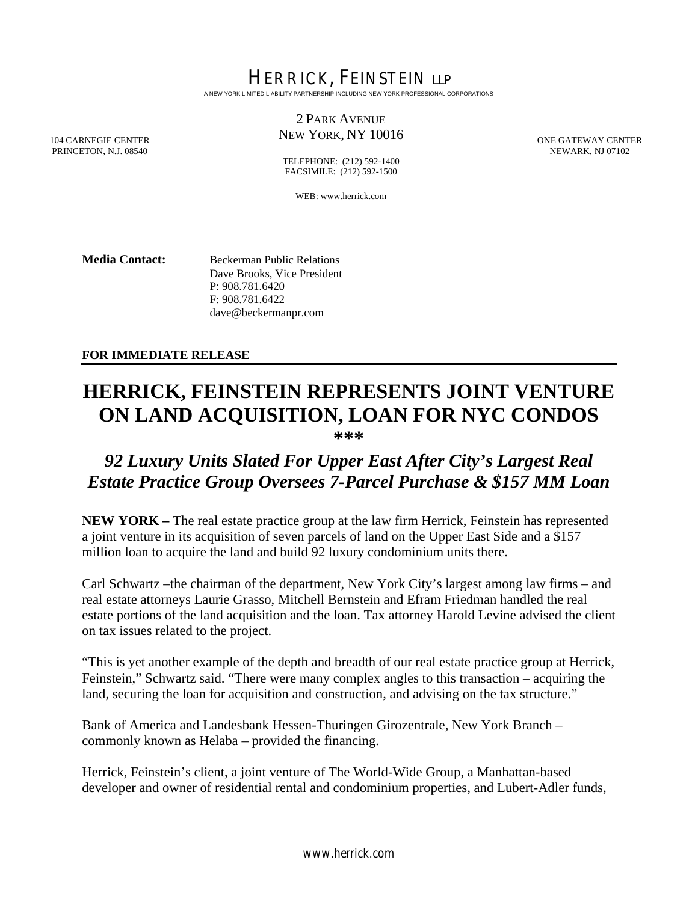HERRICK, FEINSTEIN LLP A NEW YORK LIMITED LIABILITY PARTNERSHIP INCLUDING NEW YORK PROFESSIONAL CORPORATIONS

### 2 PARK AVENUE NEW YORK, NY 10016

ONE GATEWAY CENTER NEWARK, NJ 07102

104 CARNEGIE CENTER PRINCETON, N.J. 08540

TELEPHONE: (212) 592-1400 FACSIMILE: (212) 592-1500

WEB: www.herrick.com

**Media Contact:** Beckerman Public Relations Dave Brooks, Vice President P: 908.781.6420 F: 908.781.6422 dave@beckermanpr.com

### **FOR IMMEDIATE RELEASE**

# **HERRICK, FEINSTEIN REPRESENTS JOINT VENTURE ON LAND ACQUISITION, LOAN FOR NYC CONDOS**

**\*\*\*** 

## *92 Luxury Units Slated For Upper East After City's Largest Real Estate Practice Group Oversees 7-Parcel Purchase & \$157 MM Loan*

**NEW YORK –** The real estate practice group at the law firm Herrick, Feinstein has represented a joint venture in its acquisition of seven parcels of land on the Upper East Side and a \$157 million loan to acquire the land and build 92 luxury condominium units there.

Carl Schwartz –the chairman of the department, New York City's largest among law firms – and real estate attorneys Laurie Grasso, Mitchell Bernstein and Efram Friedman handled the real estate portions of the land acquisition and the loan. Tax attorney Harold Levine advised the client on tax issues related to the project.

"This is yet another example of the depth and breadth of our real estate practice group at Herrick, Feinstein," Schwartz said. "There were many complex angles to this transaction – acquiring the land, securing the loan for acquisition and construction, and advising on the tax structure."

Bank of America and Landesbank Hessen-Thuringen Girozentrale, New York Branch – commonly known as Helaba – provided the financing.

Herrick, Feinstein's client, a joint venture of The World-Wide Group, a Manhattan-based developer and owner of residential rental and condominium properties, and Lubert-Adler funds,